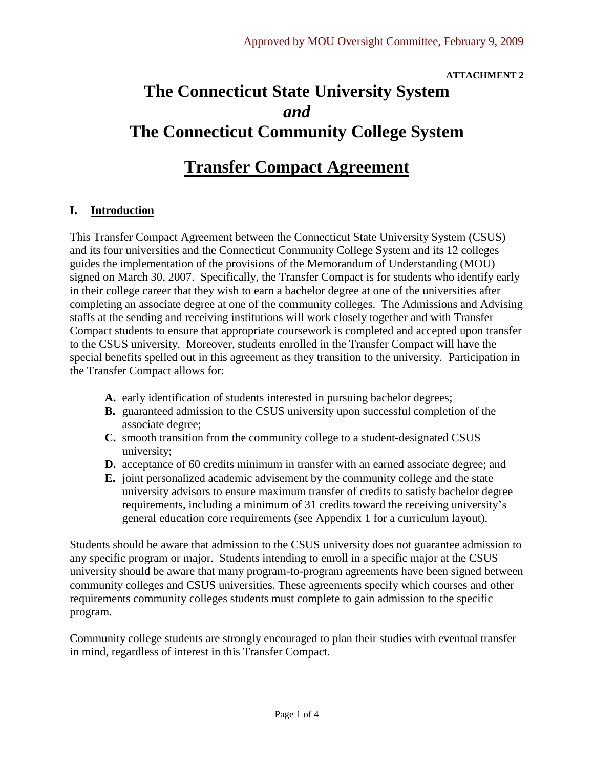#### **ATTACHMENT 2**

# **The Connecticut State University System** *and* **The Connecticut Community College System**

# **Transfer Compact Agreement**

# **I. Introduction**

This Transfer Compact Agreement between the Connecticut State University System (CSUS) and its four universities and the Connecticut Community College System and its 12 colleges guides the implementation of the provisions of the Memorandum of Understanding (MOU) signed on March 30, 2007. Specifically, the Transfer Compact is for students who identify early in their college career that they wish to earn a bachelor degree at one of the universities after completing an associate degree at one of the community colleges. The Admissions and Advising staffs at the sending and receiving institutions will work closely together and with Transfer Compact students to ensure that appropriate coursework is completed and accepted upon transfer to the CSUS university. Moreover, students enrolled in the Transfer Compact will have the special benefits spelled out in this agreement as they transition to the university. Participation in the Transfer Compact allows for:

- **A.** early identification of students interested in pursuing bachelor degrees;
- **B.** guaranteed admission to the CSUS university upon successful completion of the associate degree;
- **C.** smooth transition from the community college to a student-designated CSUS university;
- **D.** acceptance of 60 credits minimum in transfer with an earned associate degree; and
- **E.** joint personalized academic advisement by the community college and the state university advisors to ensure maximum transfer of credits to satisfy bachelor degree requirements, including a minimum of 31 credits toward the receiving university's general education core requirements (see Appendix 1 for a curriculum layout).

Students should be aware that admission to the CSUS university does not guarantee admission to any specific program or major. Students intending to enroll in a specific major at the CSUS university should be aware that many program-to-program agreements have been signed between community colleges and CSUS universities. These agreements specify which courses and other requirements community colleges students must complete to gain admission to the specific program.

Community college students are strongly encouraged to plan their studies with eventual transfer in mind, regardless of interest in this Transfer Compact.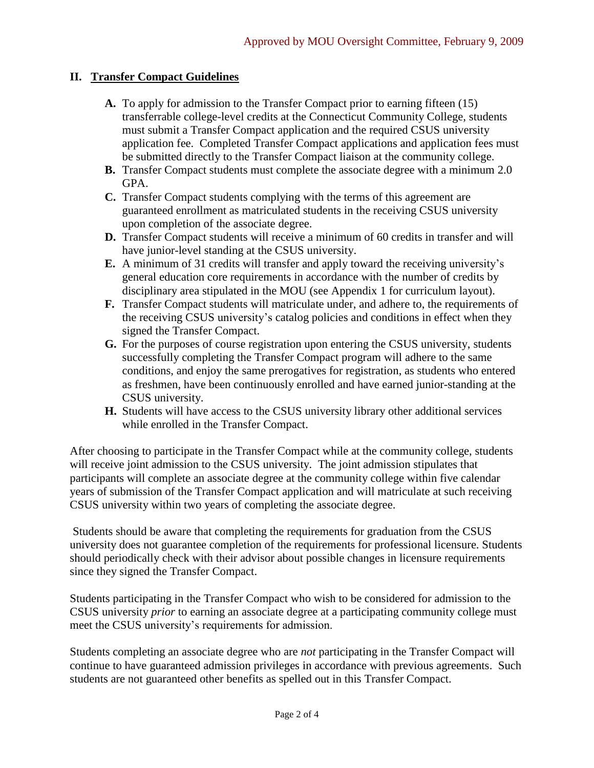## **II. Transfer Compact Guidelines**

- **A.** To apply for admission to the Transfer Compact prior to earning fifteen (15) transferrable college-level credits at the Connecticut Community College, students must submit a Transfer Compact application and the required CSUS university application fee. Completed Transfer Compact applications and application fees must be submitted directly to the Transfer Compact liaison at the community college.
- **B.** Transfer Compact students must complete the associate degree with a minimum 2.0 GPA.
- **C.** Transfer Compact students complying with the terms of this agreement are guaranteed enrollment as matriculated students in the receiving CSUS university upon completion of the associate degree.
- **D.** Transfer Compact students will receive a minimum of 60 credits in transfer and will have junior-level standing at the CSUS university.
- **E.** A minimum of 31 credits will transfer and apply toward the receiving university's general education core requirements in accordance with the number of credits by disciplinary area stipulated in the MOU (see Appendix 1 for curriculum layout).
- **F.** Transfer Compact students will matriculate under, and adhere to, the requirements of the receiving CSUS university's catalog policies and conditions in effect when they signed the Transfer Compact.
- **G.** For the purposes of course registration upon entering the CSUS university, students successfully completing the Transfer Compact program will adhere to the same conditions, and enjoy the same prerogatives for registration, as students who entered as freshmen, have been continuously enrolled and have earned junior-standing at the CSUS university.
- **H.** Students will have access to the CSUS university library other additional services while enrolled in the Transfer Compact.

After choosing to participate in the Transfer Compact while at the community college, students will receive joint admission to the CSUS university. The joint admission stipulates that participants will complete an associate degree at the community college within five calendar years of submission of the Transfer Compact application and will matriculate at such receiving CSUS university within two years of completing the associate degree.

Students should be aware that completing the requirements for graduation from the CSUS university does not guarantee completion of the requirements for professional licensure. Students should periodically check with their advisor about possible changes in licensure requirements since they signed the Transfer Compact.

Students participating in the Transfer Compact who wish to be considered for admission to the CSUS university *prior* to earning an associate degree at a participating community college must meet the CSUS university's requirements for admission.

Students completing an associate degree who are *not* participating in the Transfer Compact will continue to have guaranteed admission privileges in accordance with previous agreements. Such students are not guaranteed other benefits as spelled out in this Transfer Compact.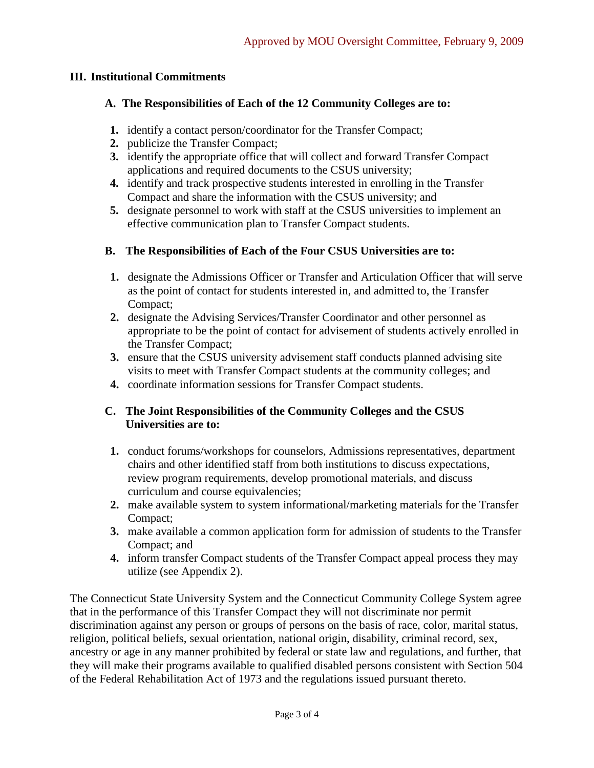#### **III. Institutional Commitments**

#### **A. The Responsibilities of Each of the 12 Community Colleges are to:**

- **1.** identify a contact person/coordinator for the Transfer Compact;
- **2.** publicize the Transfer Compact;
- **3.** identify the appropriate office that will collect and forward Transfer Compact applications and required documents to the CSUS university;
- **4.** identify and track prospective students interested in enrolling in the Transfer Compact and share the information with the CSUS university; and
- **5.** designate personnel to work with staff at the CSUS universities to implement an effective communication plan to Transfer Compact students.

### **B. The Responsibilities of Each of the Four CSUS Universities are to:**

- **1.** designate the Admissions Officer or Transfer and Articulation Officer that will serve as the point of contact for students interested in, and admitted to, the Transfer Compact;
- **2.** designate the Advising Services/Transfer Coordinator and other personnel as appropriate to be the point of contact for advisement of students actively enrolled in the Transfer Compact;
- **3.** ensure that the CSUS university advisement staff conducts planned advising site visits to meet with Transfer Compact students at the community colleges; and
- **4.** coordinate information sessions for Transfer Compact students.

#### **C. The Joint Responsibilities of the Community Colleges and the CSUS Universities are to:**

- **1.** conduct forums/workshops for counselors, Admissions representatives, department chairs and other identified staff from both institutions to discuss expectations, review program requirements, develop promotional materials, and discuss curriculum and course equivalencies:
- **2.** make available system to system informational/marketing materials for the Transfer Compact;
- **3.** make available a common application form for admission of students to the Transfer Compact; and
- **4.** inform transfer Compact students of the Transfer Compact appeal process they may utilize (see Appendix 2).

The Connecticut State University System and the Connecticut Community College System agree that in the performance of this Transfer Compact they will not discriminate nor permit discrimination against any person or groups of persons on the basis of race, color, marital status, religion, political beliefs, sexual orientation, national origin, disability, criminal record, sex, ancestry or age in any manner prohibited by federal or state law and regulations, and further, that they will make their programs available to qualified disabled persons consistent with Section 504 of the Federal Rehabilitation Act of 1973 and the regulations issued pursuant thereto.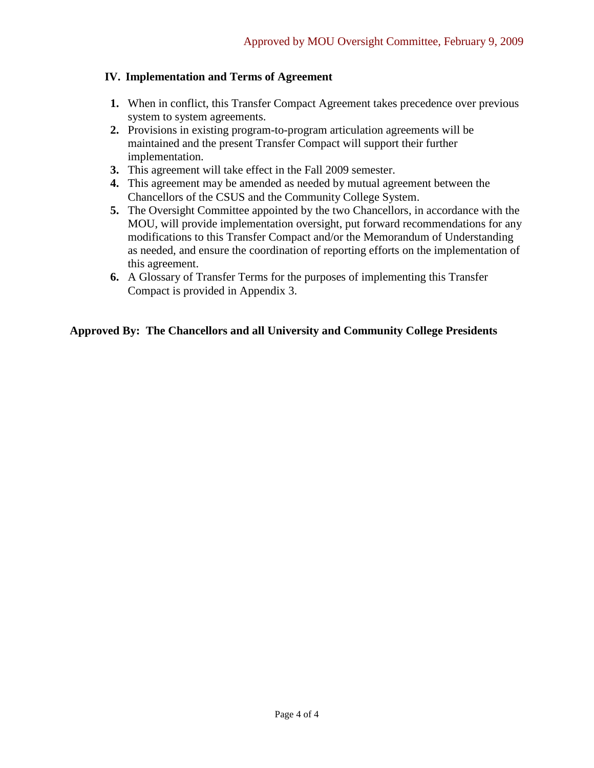### **IV. Implementation and Terms of Agreement**

- **1.** When in conflict, this Transfer Compact Agreement takes precedence over previous system to system agreements.
- **2.** Provisions in existing program-to-program articulation agreements will be maintained and the present Transfer Compact will support their further implementation.
- **3.** This agreement will take effect in the Fall 2009 semester.
- **4.** This agreement may be amended as needed by mutual agreement between the Chancellors of the CSUS and the Community College System.
- **5.** The Oversight Committee appointed by the two Chancellors, in accordance with the MOU, will provide implementation oversight, put forward recommendations for any modifications to this Transfer Compact and/or the Memorandum of Understanding as needed, and ensure the coordination of reporting efforts on the implementation of this agreement.
- **6.** A Glossary of Transfer Terms for the purposes of implementing this Transfer Compact is provided in Appendix 3.

# **Approved By: The Chancellors and all University and Community College Presidents**